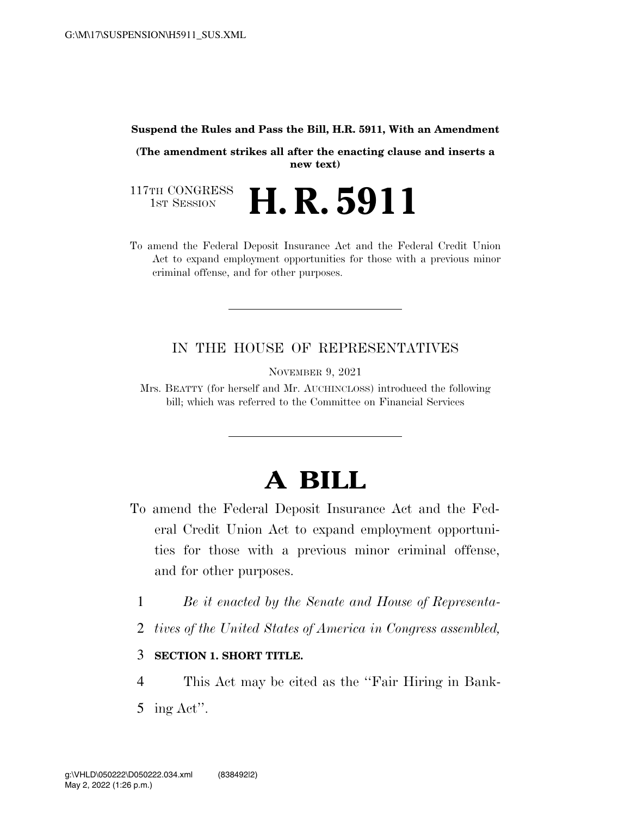## **Suspend the Rules and Pass the Bill, H.R. 5911, With an Amendment**

**(The amendment strikes all after the enacting clause and inserts a new text)** 

117TH CONGRESS<br>1st Session H. R. 5911

To amend the Federal Deposit Insurance Act and the Federal Credit Union Act to expand employment opportunities for those with a previous minor criminal offense, and for other purposes.

## IN THE HOUSE OF REPRESENTATIVES

NOVEMBER 9, 2021

Mrs. BEATTY (for herself and Mr. AUCHINCLOSS) introduced the following bill; which was referred to the Committee on Financial Services

## **A BILL**

- To amend the Federal Deposit Insurance Act and the Federal Credit Union Act to expand employment opportunities for those with a previous minor criminal offense, and for other purposes.
	- 1 *Be it enacted by the Senate and House of Representa-*
	- 2 *tives of the United States of America in Congress assembled,*

## 3 **SECTION 1. SHORT TITLE.**

4 This Act may be cited as the ''Fair Hiring in Bank-5 ing Act''.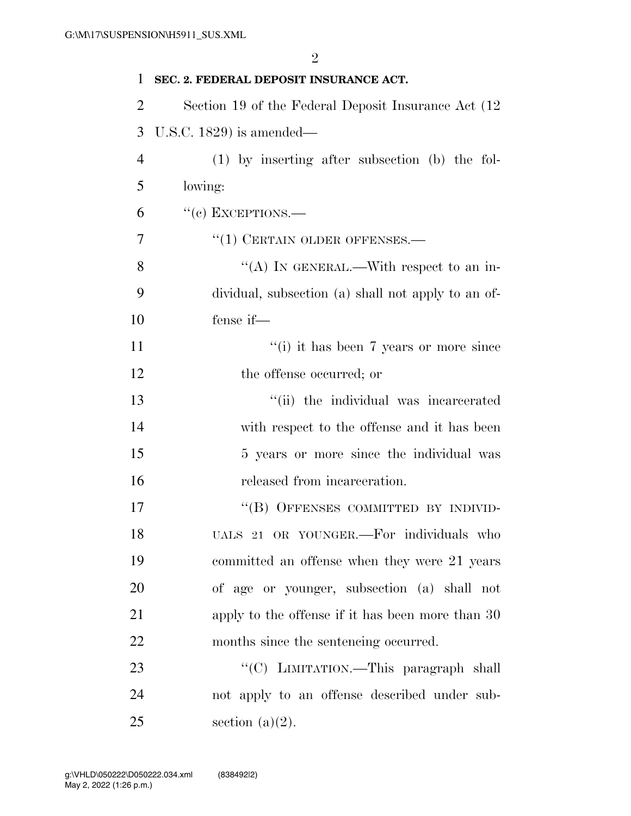| 1              | SEC. 2. FEDERAL DEPOSIT INSURANCE ACT.               |
|----------------|------------------------------------------------------|
| $\overline{2}$ | Section 19 of the Federal Deposit Insurance Act (12) |
| 3              | U.S.C. $1829$ is amended—                            |
| 4              | $(1)$ by inserting after subsection (b) the fol-     |
| 5              | lowing:                                              |
| 6              | $``$ (c) EXCEPTIONS.—                                |
| 7              | $``(1)$ CERTAIN OLDER OFFENSES.—                     |
| 8              | "(A) IN GENERAL.—With respect to an in-              |
| 9              | dividual, subsection (a) shall not apply to an of-   |
| 10             | fense if-                                            |
| 11             | "(i) it has been $7$ years or more since             |
| 12             | the offense occurred; or                             |
| 13             | "(ii) the individual was incarcerated                |
| 14             | with respect to the offense and it has been          |
| 15             | 5 years or more since the individual was             |
| 16             | released from incarceration.                         |
| 17             | "(B) OFFENSES COMMITTED BY INDIVID-                  |
| 18             | UALS 21 OR YOUNGER. For individuals who              |
| 19             | committed an offense when they were 21 years         |
| 20             | of age or younger, subsection (a) shall not          |
| 21             | apply to the offense if it has been more than 30     |
| 22             | months since the sentencing occurred.                |
| 23             | "(C) LIMITATION.—This paragraph shall                |
| 24             | not apply to an offense described under sub-         |
| 25             | section $(a)(2)$ .                                   |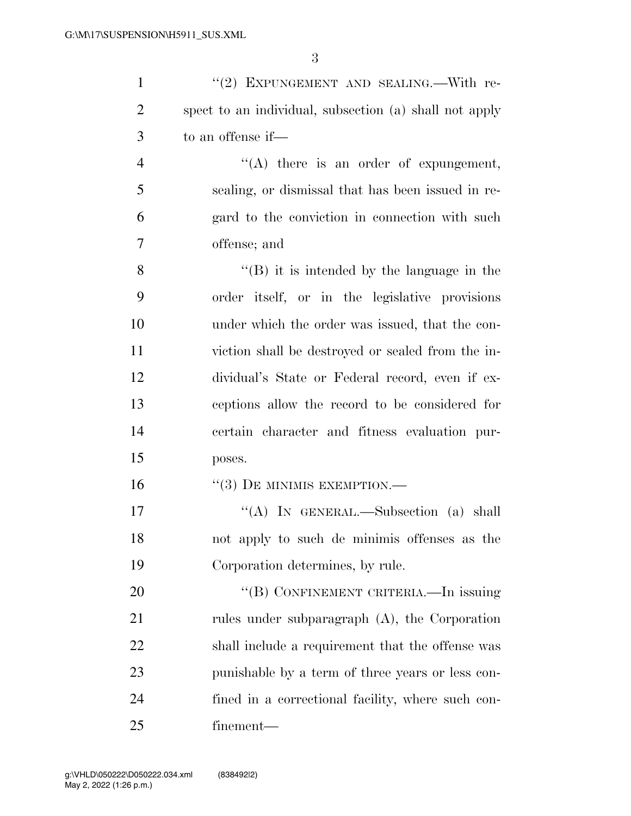| $\mathbf{1}$   | "(2) EXPUNGEMENT AND SEALING. With re-                 |
|----------------|--------------------------------------------------------|
| $\overline{2}$ | spect to an individual, subsection (a) shall not apply |
| 3              | to an offense if—                                      |
| $\overline{4}$ | $\lq\lq$ there is an order of expungement,             |
| 5              | sealing, or dismissal that has been issued in re-      |
| 6              | gard to the conviction in connection with such         |
| 7              | offense; and                                           |
| 8              | $\lq\lq$ is intended by the language in the            |
| 9              | order itself, or in the legislative provisions         |
| 10             | under which the order was issued, that the con-        |
| 11             | viction shall be destroyed or sealed from the in-      |
| 12             | dividual's State or Federal record, even if ex-        |
| 13             | ceptions allow the record to be considered for         |
| 14             | certain character and fitness evaluation pur-          |
| 15             | poses.                                                 |
| 16             | $``(3)$ DE MINIMIS EXEMPTION.—                         |
| 17             | "(A) IN GENERAL.—Subsection (a) shall                  |
| 18             | not apply to such de minimis offenses as the           |
| 19             | Corporation determines, by rule.                       |
| 20             | "(B) CONFINEMENT CRITERIA.—In issuing                  |
| 21             | rules under subparagraph $(A)$ , the Corporation       |
| 22             | shall include a requirement that the offense was       |
| 23             | punishable by a term of three years or less con-       |
| 24             | fined in a correctional facility, where such con-      |
| 25             | finement-                                              |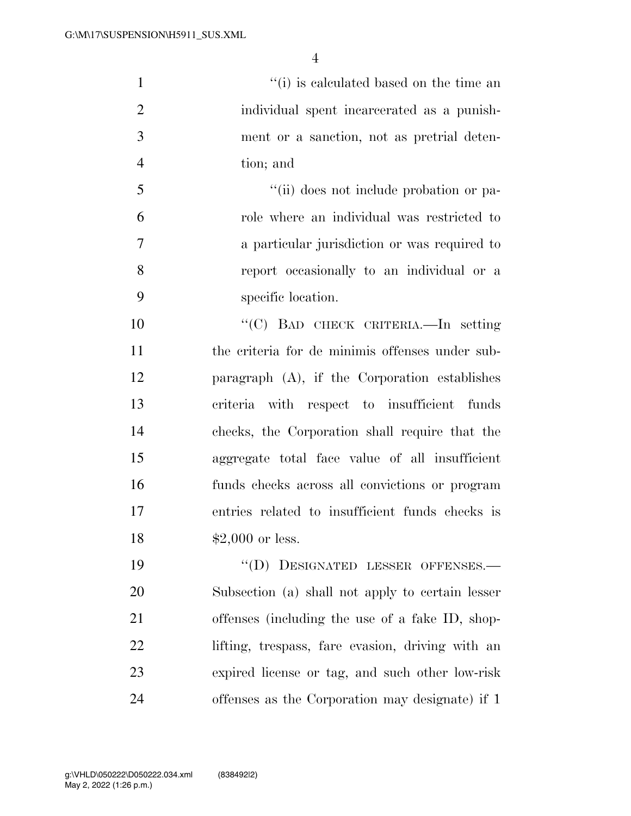| $\mathbf{1}$   | $``(i)$ is calculated based on the time an       |
|----------------|--------------------------------------------------|
| $\overline{2}$ | individual spent incarcerated as a punish-       |
| 3              | ment or a sanction, not as pretrial deten-       |
| $\overline{4}$ | tion; and                                        |
| 5              | "(ii) does not include probation or pa-          |
| 6              | role where an individual was restricted to       |
| $\overline{7}$ | a particular jurisdiction or was required to     |
| 8              | report occasionally to an individual or a        |
| 9              | specific location.                               |
| 10             | "(C) BAD CHECK CRITERIA.—In setting              |
| 11             | the criteria for de minimis offenses under sub-  |
| 12             | paragraph $(A)$ , if the Corporation establishes |
| 13             | criteria with respect to insufficient funds      |
| 14             | checks, the Corporation shall require that the   |
| 15             | aggregate total face value of all insufficient   |
| 16             | funds checks across all convictions or program   |
| 17             | entries related to insufficient funds checks is  |
| 18             | $$2,000$ or less.                                |
| 19             | "(D) DESIGNATED LESSER OFFENSES.-                |
| 20             | Subsection (a) shall not apply to certain lesser |
| 21             | offenses (including the use of a fake ID, shop-  |
| 22             | lifting, trespass, fare evasion, driving with an |
| 23             | expired license or tag, and such other low-risk  |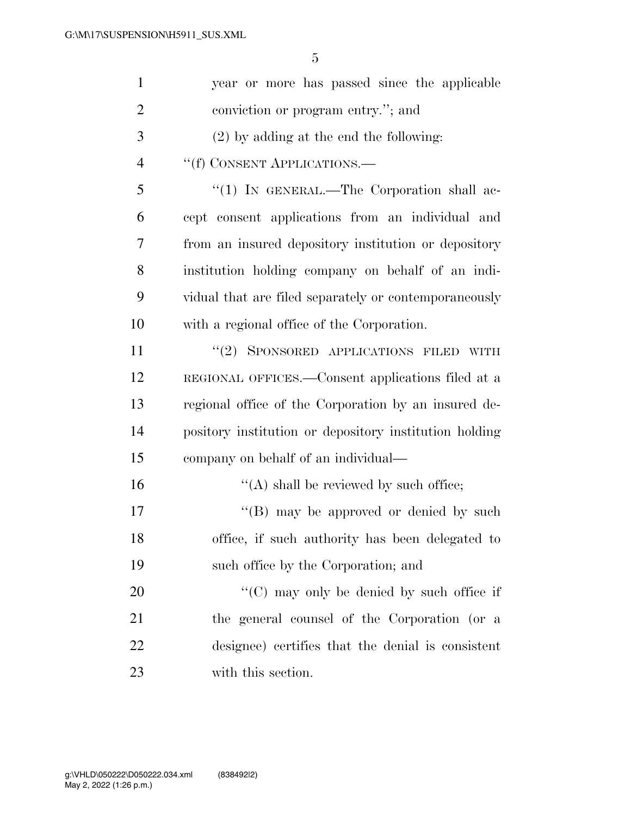| $\mathbf{1}$   | year or more has passed since the applicable           |
|----------------|--------------------------------------------------------|
| $\overline{2}$ | conviction or program entry."; and                     |
| 3              | $(2)$ by adding at the end the following:              |
| $\overline{4}$ | "(f) CONSENT APPLICATIONS.—                            |
| 5              | "(1) IN GENERAL.—The Corporation shall ac-             |
| 6              | cept consent applications from an individual and       |
| 7              | from an insured depository institution or depository   |
| 8              | institution holding company on behalf of an indi-      |
| 9              | vidual that are filed separately or contemporaneously  |
| 10             | with a regional office of the Corporation.             |
| 11             | "(2) SPONSORED APPLICATIONS FILED WITH                 |
| 12             | REGIONAL OFFICES.—Consent applications filed at a      |
| 13             | regional office of the Corporation by an insured de-   |
| 14             | pository institution or depository institution holding |
| 15             | company on behalf of an individual—                    |
| 16             | $\lq\lq$ shall be reviewed by such office;             |
| 17             | "(B) may be approved or denied by such                 |
| 18             | office, if such authority has been delegated to        |
| 19             | such office by the Corporation; and                    |
| 20             | "(C) may only be denied by such office if              |
| 21             | the general counsel of the Corporation (or a           |
| 22             | designee) certifies that the denial is consistent      |
| 23             | with this section.                                     |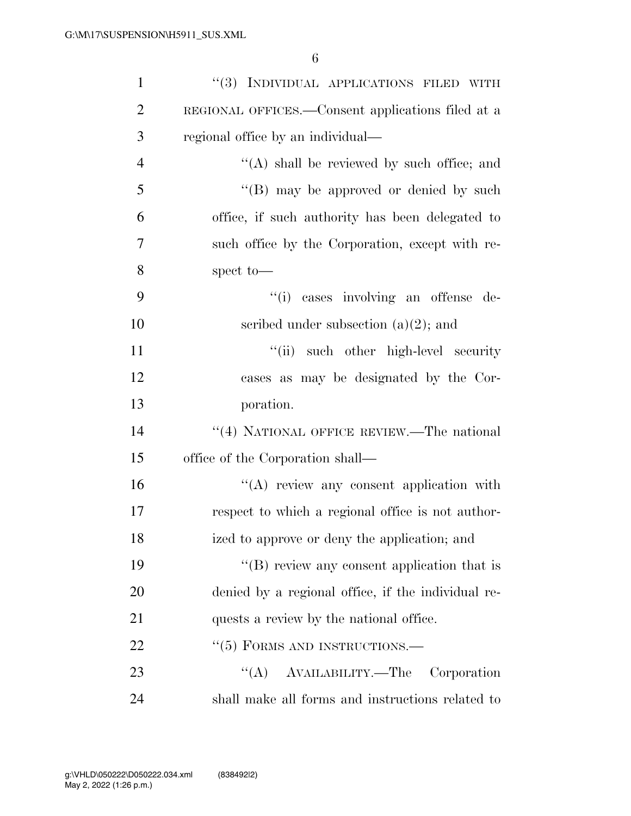| $\mathbf{1}$   | "(3) INDIVIDUAL APPLICATIONS FILED WITH            |
|----------------|----------------------------------------------------|
| $\overline{2}$ | REGIONAL OFFICES.—Consent applications filed at a  |
| 3              | regional office by an individual—                  |
| $\overline{4}$ | "(A) shall be reviewed by such office; and         |
| 5              | "(B) may be approved or denied by such             |
| 6              | office, if such authority has been delegated to    |
| 7              | such office by the Corporation, except with re-    |
| 8              | spect to-                                          |
| 9              | "(i) cases involving an offense de-                |
| 10             | scribed under subsection $(a)(2)$ ; and            |
| 11             | "(ii) such other high-level security               |
| 12             | cases as may be designated by the Cor-             |
| 13             | poration.                                          |
| 14             | "(4) NATIONAL OFFICE REVIEW.—The national          |
| 15             | office of the Corporation shall—                   |
| 16             | "(A) review any consent application with           |
| 17             | respect to which a regional office is not author-  |
| 18             | ized to approve or deny the application; and       |
| 19             | $\lq\lq$ review any consent application that is    |
| 20             | denied by a regional office, if the individual re- |
| 21             | quests a review by the national office.            |
| 22             | $\cdot$ (5) FORMS AND INSTRUCTIONS.—               |
| 23             | ``(A)<br>AVAILABILITY.—The Corporation             |
| 24             | shall make all forms and instructions related to   |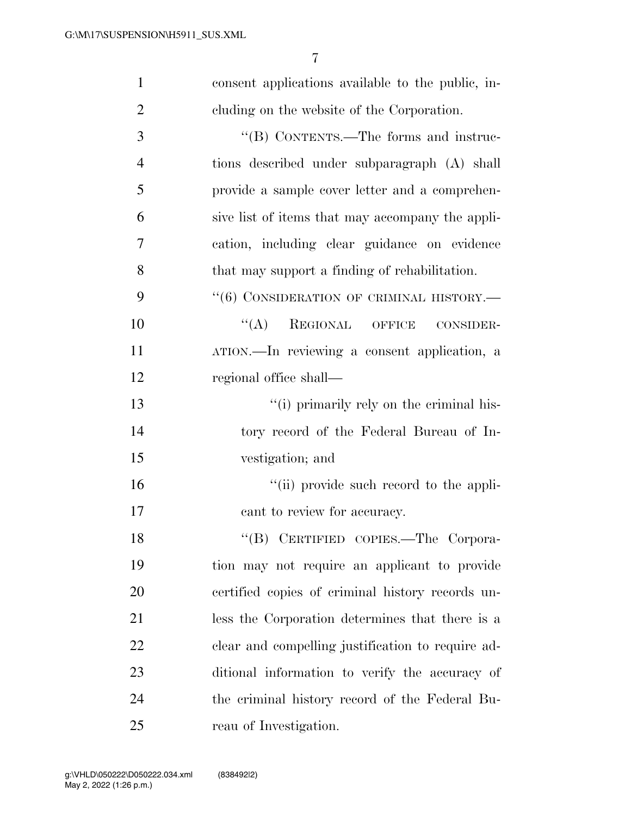| $\mathbf{1}$   | consent applications available to the public, in- |
|----------------|---------------------------------------------------|
| $\overline{2}$ | cluding on the website of the Corporation.        |
| 3              | "(B) CONTENTS.—The forms and instruc-             |
| $\overline{4}$ | tions described under subparagraph (A) shall      |
| 5              | provide a sample cover letter and a comprehen-    |
| 6              | sive list of items that may accompany the appli-  |
| 7              | cation, including clear guidance on evidence      |
| 8              | that may support a finding of rehabilitation.     |
| 9              | $``(6)$ CONSIDERATION OF CRIMINAL HISTORY.—       |
| 10             | $\lq\lq$ (A) REGIONAL OFFICE<br>CONSIDER-         |
| 11             | ATION.—In reviewing a consent application, a      |
| 12             | regional office shall—                            |
| 13             | "(i) primarily rely on the criminal his-          |
| 14             | tory record of the Federal Bureau of In-          |
| 15             | vestigation; and                                  |
| 16             | "(ii) provide such record to the appli-           |
| 17             | cant to review for accuracy.                      |
| 18             | "(B) CERTIFIED COPIES.—The Corpora-               |
| 19             | tion may not require an applicant to provide      |
| 20             | certified copies of criminal history records un-  |
| 21             | less the Corporation determines that there is a   |
| 22             | clear and compelling justification to require ad- |
| 23             | ditional information to verify the accuracy of    |
| 24             | the criminal history record of the Federal Bu-    |
| 25             | reau of Investigation.                            |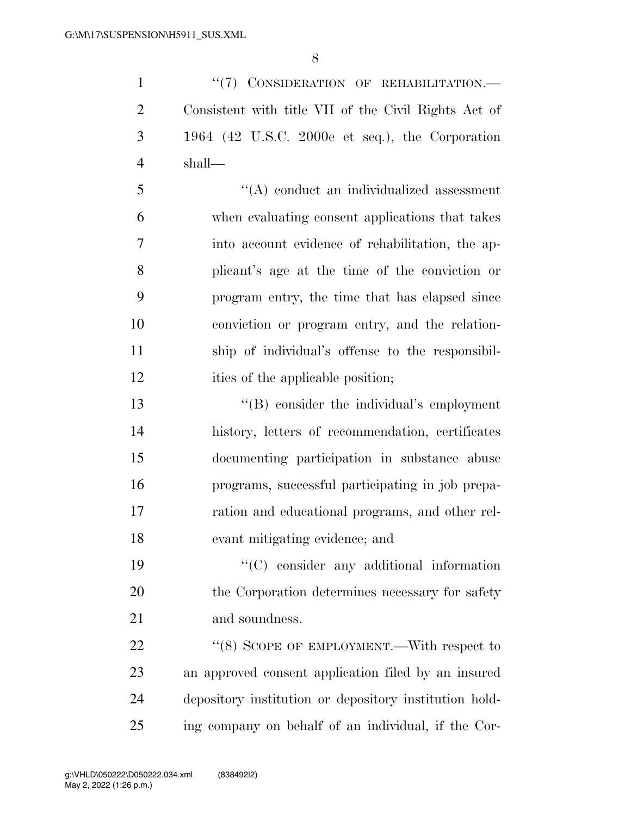1 "(7) CONSIDERATION OF REHABILITATION.— Consistent with title VII of the Civil Rights Act of 1964 (42 U.S.C. 2000e et seq.), the Corporation shall—

 ''(A) conduct an individualized assessment when evaluating consent applications that takes into account evidence of rehabilitation, the ap- plicant's age at the time of the conviction or program entry, the time that has elapsed since conviction or program entry, and the relation- ship of individual's offense to the responsibil-12 ities of the applicable position;

 ''(B) consider the individual's employment history, letters of recommendation, certificates documenting participation in substance abuse programs, successful participating in job prepa- ration and educational programs, and other rel-evant mitigating evidence; and

 ''(C) consider any additional information 20 the Corporation determines necessary for safety 21 and soundness.

22 "(8) SCOPE OF EMPLOYMENT.—With respect to an approved consent application filed by an insured depository institution or depository institution hold-ing company on behalf of an individual, if the Cor-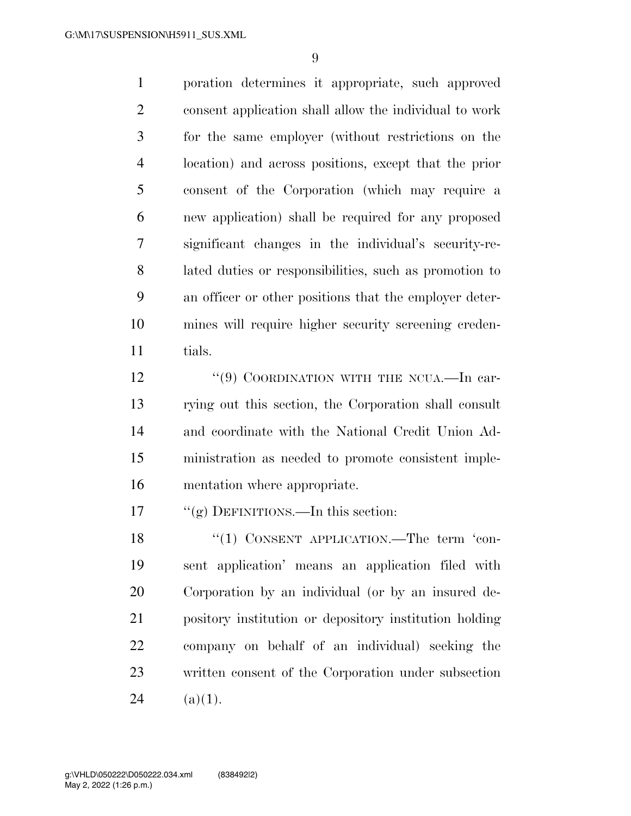poration determines it appropriate, such approved consent application shall allow the individual to work for the same employer (without restrictions on the location) and across positions, except that the prior consent of the Corporation (which may require a new application) shall be required for any proposed significant changes in the individual's security-re- lated duties or responsibilities, such as promotion to an officer or other positions that the employer deter- mines will require higher security screening creden-tials.

12 "(9) COORDINATION WITH THE NCUA.—In car- rying out this section, the Corporation shall consult and coordinate with the National Credit Union Ad- ministration as needed to promote consistent imple-mentation where appropriate.

17 ""(g) DEFINITIONS.—In this section:

18 "(1) CONSENT APPLICATION.—The term 'con- sent application' means an application filed with Corporation by an individual (or by an insured de- pository institution or depository institution holding company on behalf of an individual) seeking the written consent of the Corporation under subsection 24 (a)(1).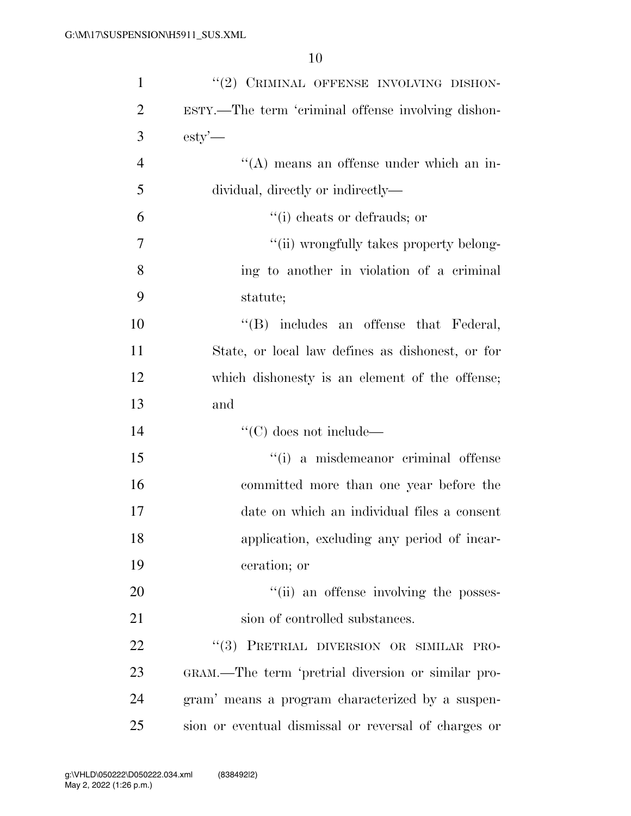| $\mathbf{1}$   | "(2) CRIMINAL OFFENSE INVOLVING DISHON-            |
|----------------|----------------------------------------------------|
| $\overline{2}$ | ESTY.—The term 'criminal offense involving dishon- |
| 3              | esty'                                              |
| $\overline{4}$ | "(A) means an offense under which an in-           |
| 5              | dividual, directly or indirectly—                  |
| 6              | "(i) cheats or defrauds; or                        |
| $\overline{7}$ | "(ii) wrongfully takes property belong-            |
| 8              | ing to another in violation of a criminal          |
| 9              | statute;                                           |
| 10             | "(B) includes an offense that Federal,             |
| 11             | State, or local law defines as dishonest, or for   |
| 12             | which dishonesty is an element of the offense;     |
| 13             | and                                                |
| 14             | $\lq\lq$ (C) does not include—                     |
| 15             | "(i) a misdemeanor criminal offense                |
| 16             | committed more than one year before the            |
| 17             | date on which an individual files a consent        |
| 18             | application, excluding any period of incar-        |
| 19             | ceration; or                                       |
| 20             | "(ii) an offense involving the posses-             |
| 21             | sion of controlled substances.                     |
| 22             | "(3) PRETRIAL DIVERSION OR SIMILAR PRO-            |
| 23             |                                                    |
|                | GRAM.—The term 'pretrial diversion or similar pro- |
| 24             | gram' means a program characterized by a suspen-   |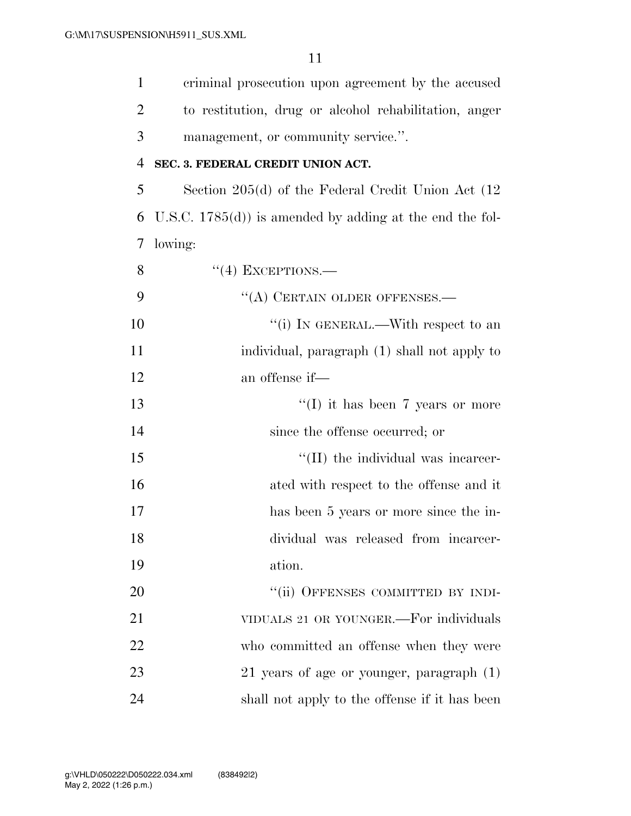| $\mathbf{1}$   | criminal prosecution upon agreement by the accused        |
|----------------|-----------------------------------------------------------|
| $\overline{2}$ | to restitution, drug or alcohol rehabilitation, anger     |
| 3              | management, or community service.".                       |
| $\overline{4}$ | SEC. 3. FEDERAL CREDIT UNION ACT.                         |
| 5              | Section $205(d)$ of the Federal Credit Union Act $(12)$   |
| 6              | U.S.C. $1785(d)$ is amended by adding at the end the fol- |
| 7              | lowing:                                                   |
| 8              | $``(4)$ EXCEPTIONS.—                                      |
| 9              | $``(A)$ CERTAIN OLDER OFFENSES.—                          |
| 10             | "(i) IN GENERAL.—With respect to an                       |
| 11             | individual, paragraph (1) shall not apply to              |
| 12             | an offense if—                                            |
| 13             | "(I) it has been 7 years or more                          |
| 14             | since the offense occurred; or                            |
| 15             | $\lq\lq$ (II) the individual was incarcer-                |
| 16             | ated with respect to the offense and it                   |
| 17             | has been 5 years or more since the in-                    |
| 18             | dividual was released from incarcer-                      |
| 19             | ation.                                                    |
| 20             | "(ii) OFFENSES COMMITTED BY INDI-                         |
| 21             | VIDUALS 21 OR YOUNGER.—For individuals                    |
| 22             | who committed an offense when they were                   |
| 23             | 21 years of age or younger, paragraph $(1)$               |
| 24             | shall not apply to the offense if it has been             |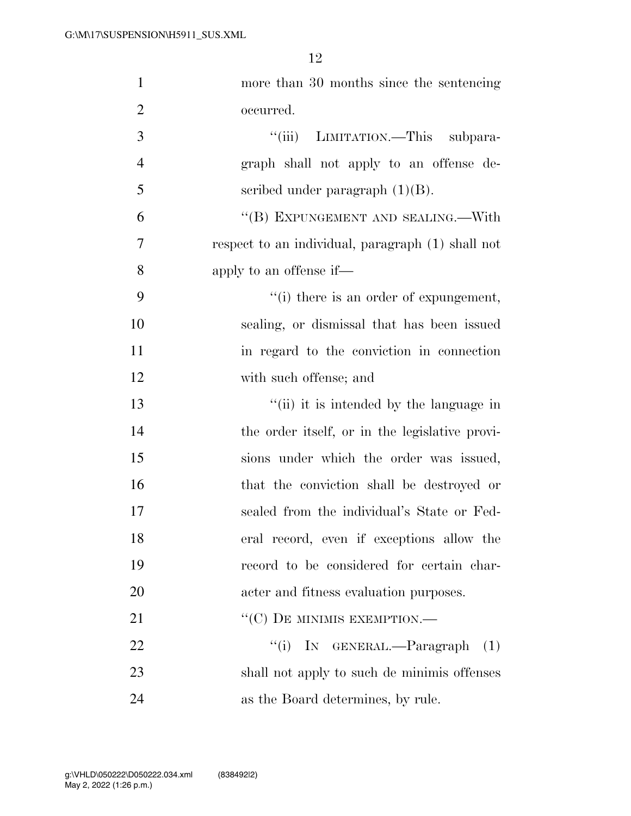| $\mathbf{1}$   | more than 30 months since the sentencing          |
|----------------|---------------------------------------------------|
| $\overline{2}$ | occurred.                                         |
| 3              | "(iii) LIMITATION.—This subpara-                  |
| $\overline{4}$ | graph shall not apply to an offense de-           |
| 5              | scribed under paragraph $(1)(B)$ .                |
| 6              | "(B) EXPUNGEMENT AND SEALING.—With                |
| $\overline{7}$ | respect to an individual, paragraph (1) shall not |
| 8              | apply to an offense if—                           |
| 9              | $f'(i)$ there is an order of expungement,         |
| 10             | sealing, or dismissal that has been issued        |
| 11             | in regard to the conviction in connection         |
| 12             | with such offense; and                            |
| 13             | "(ii) it is intended by the language in           |
| 14             | the order itself, or in the legislative provi-    |
| 15             | sions under which the order was issued,           |
| 16             | that the conviction shall be destroyed or         |
| 17             | sealed from the individual's State or Fed-        |
| 18             | eral record, even if exceptions allow the         |
| 19             | record to be considered for certain char-         |
| 20             | acter and fitness evaluation purposes.            |
| 21             | "(C) DE MINIMIS EXEMPTION.—                       |
| 22             | "(i) IN GENERAL.—Paragraph<br>(1)                 |
| 23             | shall not apply to such de minimis offenses       |
| 24             | as the Board determines, by rule.                 |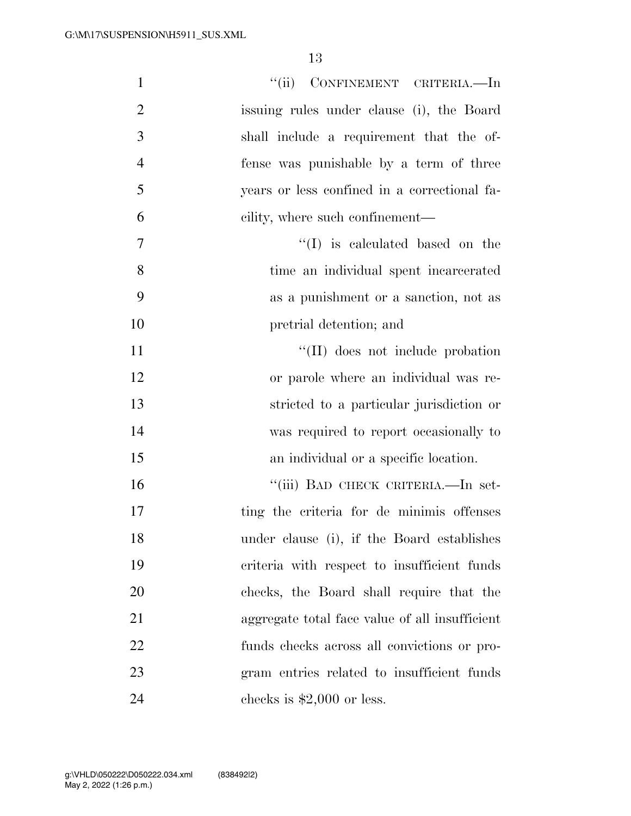| $\mathbf{1}$   | CONFINEMENT CRITERIA.—In<br>$\lq(\mathbf{ii})$ |
|----------------|------------------------------------------------|
| $\overline{2}$ | issuing rules under clause (i), the Board      |
| 3              | shall include a requirement that the of-       |
| $\overline{4}$ | fense was punishable by a term of three        |
| 5              | years or less confined in a correctional fa-   |
| 6              | cility, where such confinement—                |
| $\tau$         | $\lq\lq$ is calculated based on the            |
| 8              | time an individual spent incarcerated          |
| 9              | as a punishment or a sanction, not as          |
| 10             | pretrial detention; and                        |
| 11             | $\lq\lq$ (II) does not include probation       |
| 12             | or parole where an individual was re-          |
| 13             | stricted to a particular jurisdiction or       |
| 14             | was required to report occasionally to         |
| 15             | an individual or a specific location.          |
| 16             | "(iii) BAD CHECK CRITERIA.—In set-             |
| 17             | ting the criteria for de minimis offenses      |
| 18             | under clause (i), if the Board establishes     |
| 19             | criteria with respect to insufficient funds    |
| 20             | checks, the Board shall require that the       |
| 21             | aggregate total face value of all insufficient |
| 22             | funds checks across all convictions or pro-    |
| 23             | gram entries related to insufficient funds     |
| 24             | checks is $$2,000$ or less.                    |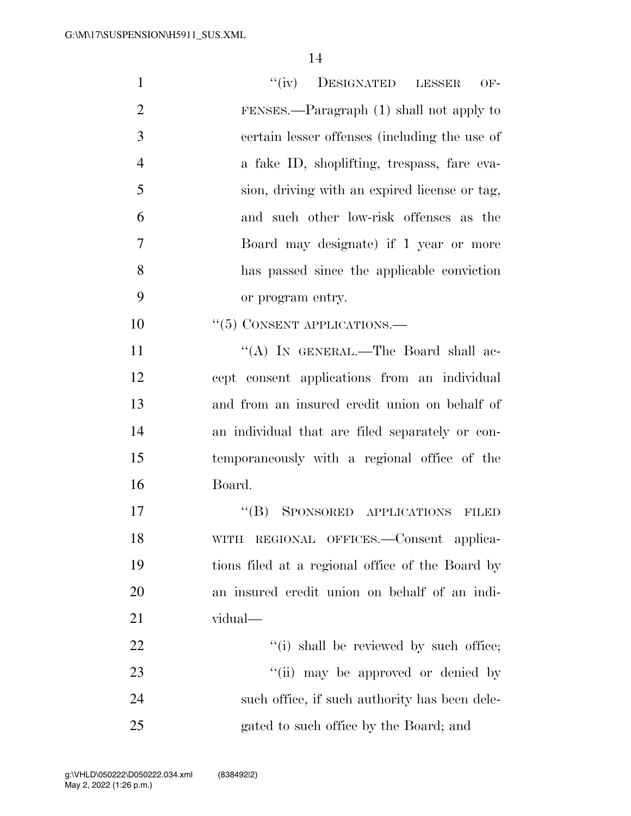| $\mathbf{1}$   | "(iv) DESIGNATED LESSER<br>OF-                   |
|----------------|--------------------------------------------------|
| $\overline{2}$ | FENSES.—Paragraph (1) shall not apply to         |
| 3              | certain lesser offenses (including the use of    |
| $\overline{4}$ | a fake ID, shoplifting, trespass, fare eva-      |
| 5              | sion, driving with an expired license or tag,    |
| 6              | and such other low-risk offenses as the          |
| $\overline{7}$ | Board may designate) if 1 year or more           |
| 8              | has passed since the applicable conviction       |
| 9              | or program entry.                                |
| 10             | $\cdot\cdot$ (5) CONSENT APPLICATIONS.—          |
| 11             | "(A) IN GENERAL.—The Board shall ac-             |
| 12             | cept consent applications from an individual     |
| 13             | and from an insured credit union on behalf of    |
| 14             | an individual that are filed separately or con-  |
| 15             | temporaneously with a regional office of the     |
| 16             | Board.                                           |
| 17             | SPONSORED APPLICATIONS FILED<br>$\mathrm{``(B)}$ |
| 18             | REGIONAL OFFICES.—Consent applica-<br>WITH       |
| 19             | tions filed at a regional office of the Board by |
| 20             | an insured credit union on behalf of an indi-    |
| 21             | vidual—                                          |
| 22             | "(i) shall be reviewed by such office;           |
| 23             | "(ii) may be approved or denied by               |
| 24             | such office, if such authority has been dele-    |
| 25             | gated to such office by the Board; and           |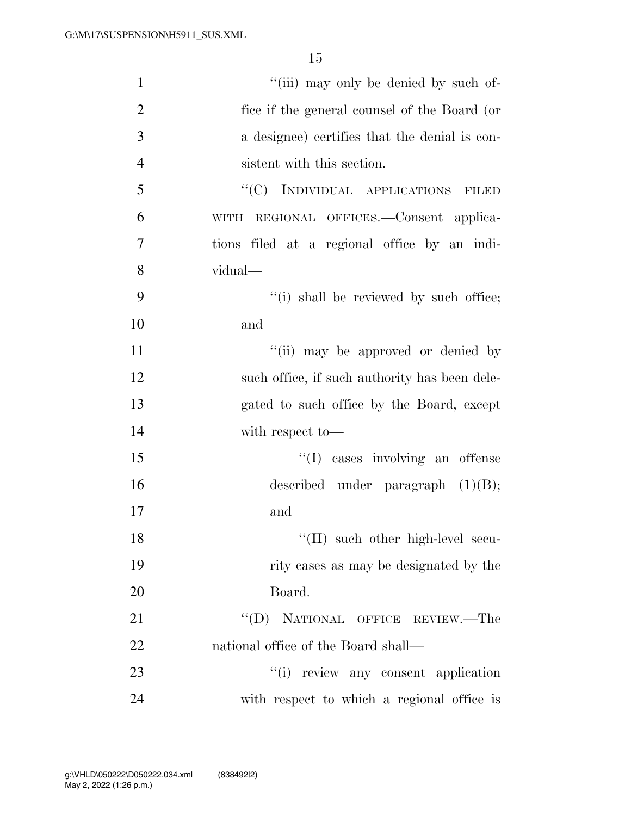| $\mathbf{1}$   | "(iii) may only be denied by such of-         |
|----------------|-----------------------------------------------|
| $\overline{2}$ | fice if the general counsel of the Board (or  |
| 3              | a designee) certifies that the denial is con- |
| $\overline{4}$ | sistent with this section.                    |
| 5              | "(C) INDIVIDUAL APPLICATIONS<br><b>FILED</b>  |
| 6              | REGIONAL OFFICES.—Consent applica-<br>WITH    |
| 7              | tions filed at a regional office by an indi-  |
| 8              | vidual—                                       |
| 9              | "(i) shall be reviewed by such office;        |
| 10             | and                                           |
| 11             | "(ii) may be approved or denied by            |
| 12             | such office, if such authority has been dele- |
| 13             | gated to such office by the Board, except     |
| 14             | with respect to-                              |
| 15             | "(I) cases involving an offense               |
| 16             | described under paragraph $(1)(B)$ ;          |
| 17             | and                                           |
| 18             | "(II) such other high-level secu-             |
| 19             | rity cases as may be designated by the        |
| 20             | Board.                                        |
| 21             | "(D) NATIONAL OFFICE REVIEW.—The              |
| 22             | national office of the Board shall—           |
| 23             | "(i) review any consent application           |
| 24             | with respect to which a regional office is    |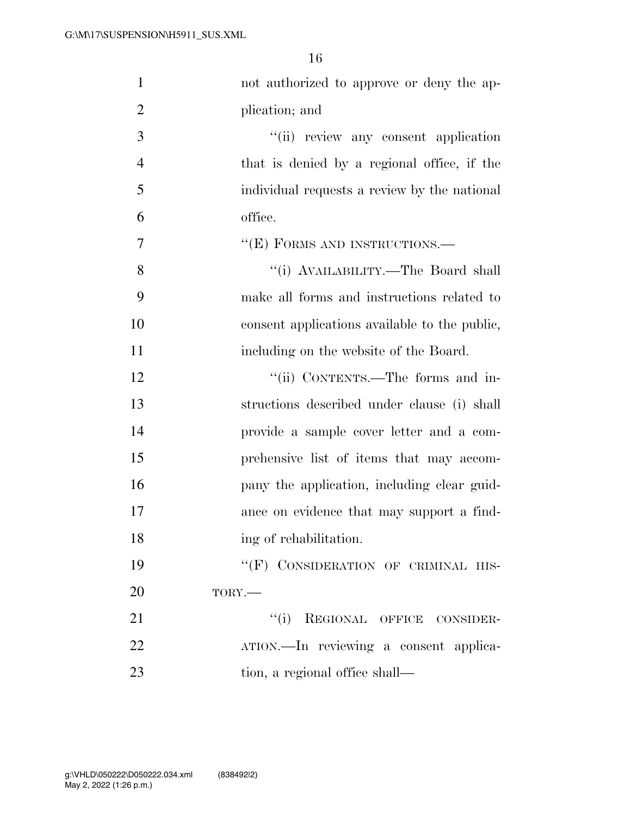| $\mathbf{1}$   | not authorized to approve or deny the ap-     |
|----------------|-----------------------------------------------|
| $\overline{2}$ | plication; and                                |
| 3              | "(ii) review any consent application          |
| $\overline{4}$ | that is denied by a regional office, if the   |
| 5              | individual requests a review by the national  |
| 6              | office.                                       |
| $\overline{7}$ | "(E) FORMS AND INSTRUCTIONS.—                 |
| 8              | "(i) AVAILABILITY.—The Board shall            |
| 9              | make all forms and instructions related to    |
| 10             | consent applications available to the public, |
| 11             | including on the website of the Board.        |
| 12             | "(ii) CONTENTS.—The forms and in-             |
| 13             | structions described under clause (i) shall   |
| 14             | provide a sample cover letter and a com-      |
| 15             | prehensive list of items that may accom-      |
| 16             | pany the application, including clear guid-   |
| 17             | ance on evidence that may support a find-     |
| 18             | ing of rehabilitation.                        |
| 19             | "(F) CONSIDERATION OF CRIMINAL HIS-           |
| 20             | TORY.-                                        |
| 21             | "(i) REGIONAL OFFICE CONSIDER-                |
| 22             | ATION.—In reviewing a consent applica-        |
| 23             | tion, a regional office shall—                |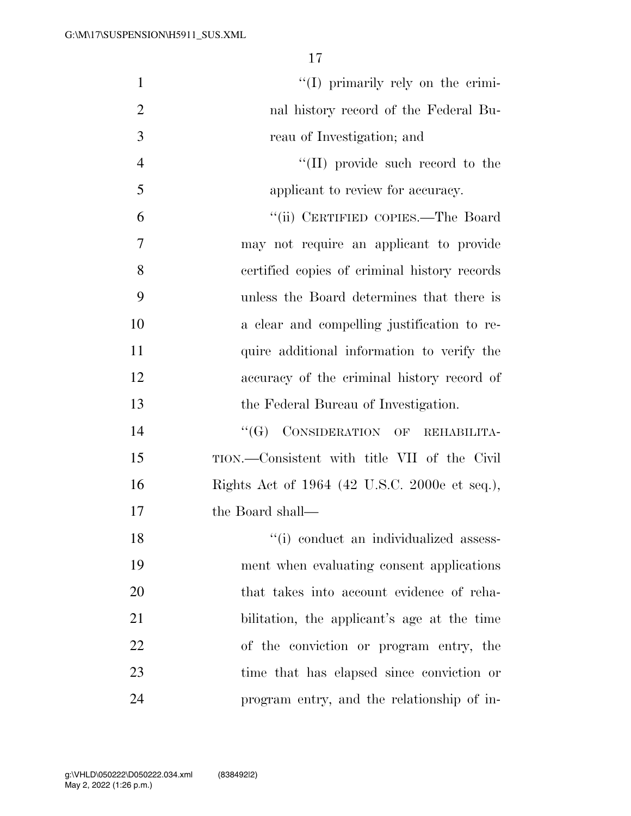| $\mathbf{1}$   | $\lq\lq$ (I) primarily rely on the crimi-     |
|----------------|-----------------------------------------------|
| $\overline{2}$ | nal history record of the Federal Bu-         |
| 3              | reau of Investigation; and                    |
| $\overline{4}$ | $\lq\lq$ (II) provide such record to the      |
| 5              | applicant to review for accuracy.             |
| 6              | "(ii) CERTIFIED COPIES.—The Board             |
| $\overline{7}$ | may not require an applicant to provide       |
| 8              | certified copies of criminal history records  |
| 9              | unless the Board determines that there is     |
| 10             | a clear and compelling justification to re-   |
| 11             | quire additional information to verify the    |
| 12             | accuracy of the criminal history record of    |
| 13             | the Federal Bureau of Investigation.          |
| 14             | "(G) CONSIDERATION OF REHABILITA-             |
| 15             | TION.—Consistent with title VII of the Civil  |
| 16             | Rights Act of 1964 (42 U.S.C. 2000e et seq.), |
| 17             | the Board shall—                              |
| 18             | "(i) conduct an individualized assess-        |
| 19             | ment when evaluating consent applications     |
| 20             | that takes into account evidence of reha-     |
| 21             | bilitation, the applicant's age at the time   |
| 22             | of the conviction or program entry, the       |
| 23             | time that has elapsed since conviction or     |
| 24             | program entry, and the relationship of in-    |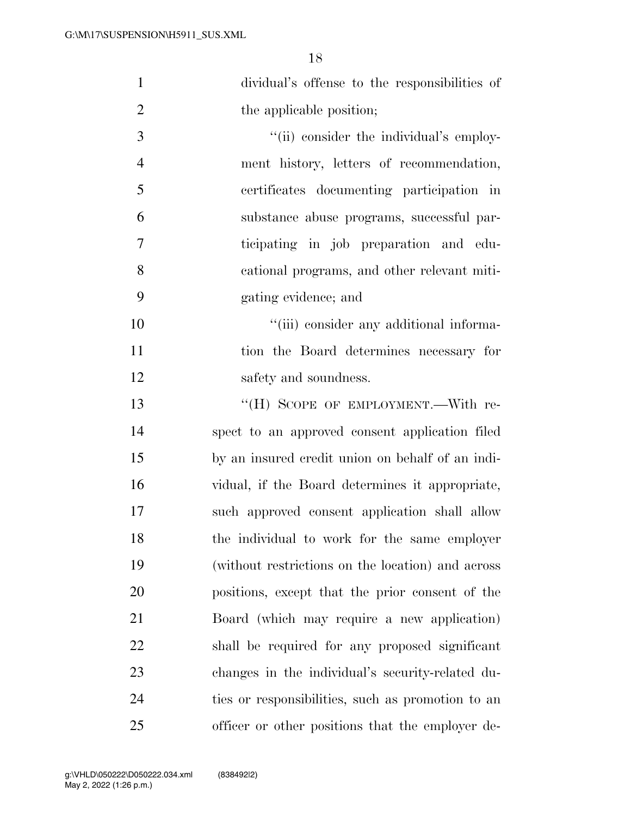| $\mathbf{1}$   | dividual's offense to the responsibilities of     |
|----------------|---------------------------------------------------|
| $\overline{2}$ | the applicable position;                          |
| 3              | "(ii) consider the individual's employ-           |
| $\overline{4}$ | ment history, letters of recommendation,          |
| 5              | certificates documenting participation in         |
| 6              | substance abuse programs, successful par-         |
| 7              | ticipating in job preparation and edu-            |
| 8              | cational programs, and other relevant miti-       |
| 9              | gating evidence; and                              |
| 10             | "(iii) consider any additional informa-           |
| 11             | tion the Board determines necessary for           |
| 12             | safety and soundness.                             |
| 13             | "(H) SCOPE OF EMPLOYMENT.—With re-                |
| 14             | spect to an approved consent application filed    |
| 15             | by an insured credit union on behalf of an indi-  |
| 16             | vidual, if the Board determines it appropriate,   |
| 17             | such approved consent application shall allow     |
| 18             | the individual to work for the same employer      |
| 19             | (without restrictions on the location) and across |
| 20             | positions, except that the prior consent of the   |
| 21             | Board (which may require a new application)       |
| 22             | shall be required for any proposed significant    |
| 23             | changes in the individual's security-related du-  |
| 24             | ties or responsibilities, such as promotion to an |
| 25             | officer or other positions that the employer de-  |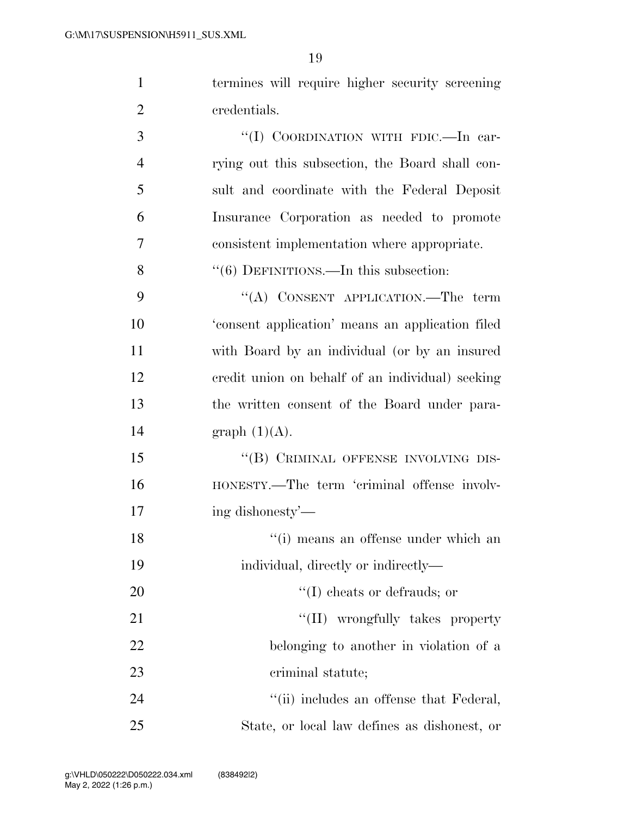$\overline{1}$ 

|                | -19                                                |
|----------------|----------------------------------------------------|
| $\mathbf{1}$   | termines will require higher security screening    |
| $\overline{2}$ | credentials.                                       |
| 3              | "(I) COORDINATION WITH FDIC.—In car-               |
| $\overline{4}$ | rying out this subsection, the Board shall con-    |
| 5              | sult and coordinate with the Federal Deposit       |
| 6              | Insurance Corporation as needed to promote         |
| $\overline{7}$ | consistent implementation where appropriate.       |
| 8              | $\cdot\cdot$ (6) DEFINITIONS.—In this subsection:  |
| 9              | "(A) CONSENT APPLICATION.—The term                 |
| 10             | 'consent application' means an application filed   |
| 11             | with Board by an individual (or by an insured      |
| 12             | credit union on behalf of an individual) seeking   |
| 13             | the written consent of the Board under para-       |
| 14             | graph $(1)(A)$ .                                   |
| 15             | $\{(\mathbf{P})\}$ Continuity annual invariance in |

15 "(B) CRIMINAL OFFENSE INVOLVING DIS-16 HONESTY.—The term 'criminal offense involv-17 ing dishonesty'—

18 ''(i) means an offense under which an 19 individual, directly or indirectly— 20  $\text{``(I) checks or defrauds; or}$ 21 ''(II) wrongfully takes property 22 belonging to another in violation of a 23 criminal statute; 24 ''(ii) includes an offense that Federal, 25 State, or local law defines as dishonest, or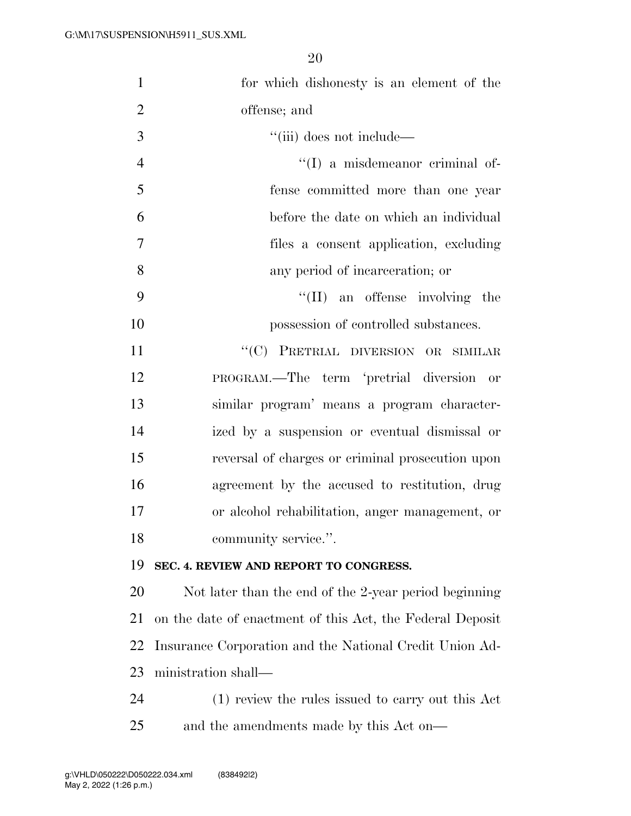| $\mathbf{1}$   | for which dishonesty is an element of the                 |
|----------------|-----------------------------------------------------------|
| $\overline{2}$ | offense; and                                              |
| $\mathfrak{Z}$ | "(iii) does not include—                                  |
| $\overline{4}$ | $\lq\lq$ a misdemeanor criminal of-                       |
| 5              | fense committed more than one year                        |
| 6              | before the date on which an individual                    |
| 7              | files a consent application, excluding                    |
| 8              | any period of incarceration; or                           |
| 9              | $\lq\lq$ (II) an offense involving the                    |
| 10             | possession of controlled substances.                      |
| 11             | "(C) PRETRIAL DIVERSION OR SIMILAR                        |
| 12             | PROGRAM.—The term 'pretrial diversion or                  |
| 13             | similar program' means a program character-               |
| 14             | ized by a suspension or eventual dismissal or             |
| 15             | reversal of charges or criminal prosecution upon          |
| 16             | agreement by the accused to restitution, drug             |
| 17             | or alcohol rehabilitation, anger management, or           |
| 18             | community service.".                                      |
| 19             | SEC. 4. REVIEW AND REPORT TO CONGRESS.                    |
| 20             | Not later than the end of the 2-year period beginning     |
| 21             | on the date of enactment of this Act, the Federal Deposit |
| 22             | Insurance Corporation and the National Credit Union Ad-   |
| 23             | ministration shall—                                       |
| 24             | (1) review the rules issued to carry out this Act         |
| 25             | and the amendments made by this Act on—                   |